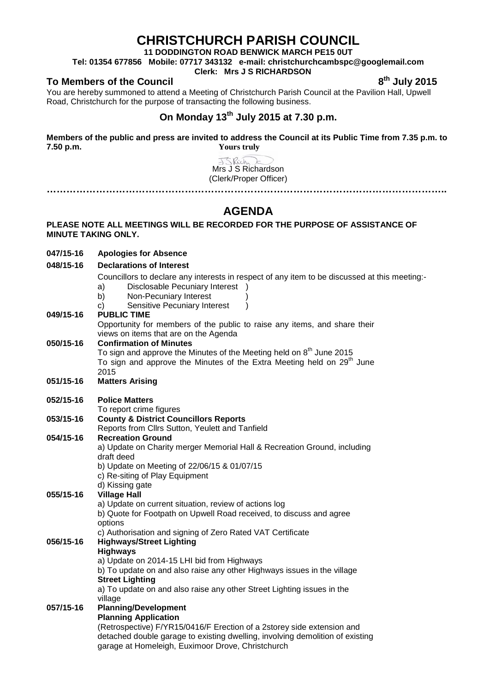# **CHRISTCHURCH PARISH COUNCIL**

**11 DODDINGTON ROAD BENWICK MARCH PE15 0UT**

**Tel: 01354 677856 Mobile: 07717 343132 e-mail: christchurchcambspc@googlemail.com**

## **Clerk: Mrs J S RICHARDSON**

**To Members of the Council 6th and the Council 8th July 2015** 

You are hereby summoned to attend a Meeting of Christchurch Parish Council at the Pavilion Hall, Upwell Road, Christchurch for the purpose of transacting the following business.

# **On Monday 13th July 2015 at 7.30 p.m.**

**Members of the public and press are invited to address the Council at its Public Time from 7.35 p.m. to 7.50 p.m. Yours truly**

> JSRich ℶ Mrs J S Richardson (Clerk/Proper Officer)

**…………………………………………………………………………………………………………..**

### **PLEASE NOTE ALL MEETINGS WILL BE RECORDED FOR THE PURPOSE OF ASSISTANCE OF MINUTE TAKING ONLY.**

| <b>AGENDA</b>                                                                                            |                                                                                                                                                                                                                                                                                            |
|----------------------------------------------------------------------------------------------------------|--------------------------------------------------------------------------------------------------------------------------------------------------------------------------------------------------------------------------------------------------------------------------------------------|
| PLEASE NOTE ALL MEETINGS WILL BE RECORDED FOR THE PURPOSE OF ASSISTANCE OF<br><b>MINUTE TAKING ONLY.</b> |                                                                                                                                                                                                                                                                                            |
| 047/15-16                                                                                                | <b>Apologies for Absence</b>                                                                                                                                                                                                                                                               |
| 048/15-16                                                                                                | <b>Declarations of Interest</b>                                                                                                                                                                                                                                                            |
|                                                                                                          | Councillors to declare any interests in respect of any item to be discussed at this meeting:-<br>Disclosable Pecuniary Interest )<br>a)<br>Non-Pecuniary Interest<br>b)<br>Sensitive Pecuniary Interest<br>C)                                                                              |
| 049/15-16                                                                                                | <b>PUBLIC TIME</b><br>Opportunity for members of the public to raise any items, and share their<br>views on items that are on the Agenda                                                                                                                                                   |
| 050/15-16                                                                                                | <b>Confirmation of Minutes</b><br>To sign and approve the Minutes of the Meeting held on 8 <sup>th</sup> June 2015<br>To sign and approve the Minutes of the Extra Meeting held on 29 <sup>th</sup> June<br>2015                                                                           |
| 051/15-16                                                                                                | <b>Matters Arising</b>                                                                                                                                                                                                                                                                     |
| 052/15-16                                                                                                | <b>Police Matters</b><br>To report crime figures                                                                                                                                                                                                                                           |
| 053/15-16                                                                                                | <b>County &amp; District Councillors Reports</b><br>Reports from Cllrs Sutton, Yeulett and Tanfield                                                                                                                                                                                        |
| 054/15-16                                                                                                | <b>Recreation Ground</b><br>a) Update on Charity merger Memorial Hall & Recreation Ground, including<br>draft deed<br>b) Update on Meeting of 22/06/15 & 01/07/15<br>c) Re-siting of Play Equipment<br>d) Kissing gate                                                                     |
| 055/15-16                                                                                                | <b>Village Hall</b><br>a) Update on current situation, review of actions log<br>b) Quote for Footpath on Upwell Road received, to discuss and agree<br>options<br>c) Authorisation and signing of Zero Rated VAT Certificate                                                               |
| 056/15-16                                                                                                | <b>Highways/Street Lighting</b><br><b>Highways</b><br>a) Update on 2014-15 LHI bid from Highways<br>b) To update on and also raise any other Highways issues in the village<br><b>Street Lighting</b><br>a) To update on and also raise any other Street Lighting issues in the<br>village |
| 057/15-16                                                                                                | <b>Planning/Development</b><br><b>Planning Application</b><br>(Retrospective) F/YR15/0416/F Erection of a 2storey side extension and<br>detached double garage to existing dwelling, involving demolition of existing<br>garage at Homeleigh, Euximoor Drove, Christchurch                 |